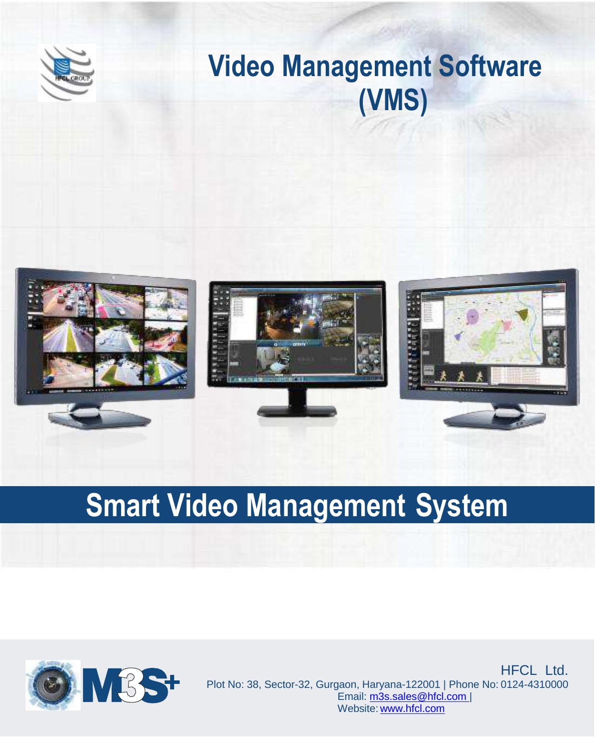

# **Video Management Software (VMS)**



# **Smart Video Management System**



**Plot No. 38, Sector 32, Sector 32, Sector 32, Sector 32, Sector 32, Sector 32, Sector 32, Sector 32, Sector 32, Sector 32, Sector 32, Sector 32, Sector 32, Sector 32, Sector 32, Sector 32, Sector 32, Sector 32, Sector 32,** Email: [m3s.sales@polixel.in |](mailto:m3s.sales@polixel.in) Website: [www.polixel.in](http://www.polixel.in/) **AND AND AND AND AND AND AND PLOT NO: 38, Sector-32, Gurgaon, Haryana-122001 | Phone No: 0124-4310000** Email: [m3s.sales@hfcl.com |](mailto:m3s.sales@hfcl.com) Website: www.hfcl.com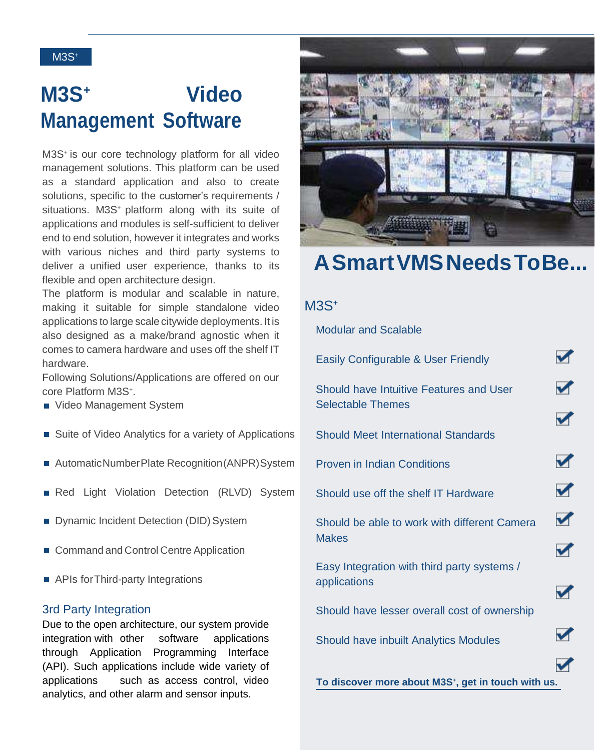# **M3S<sup>+</sup>Video Management Software**

M3S<sup>+</sup> is our core technology platform for all video management solutions. This platform can be used as a standard application and also to create solutions, specific to the customer's requirements / situations. M3S<sup>+</sup> platform along with its suite of applications and modules is self-sufficient to deliver end to end solution, however it integrates and works with various niches and third party systems to deliver a unified user experience, thanks to its flexible and open architecture design.

The platform is modular and scalable in nature, making it suitable for simple standalone video applications to large scale citywide deployments. It is also designed as a make/brand agnostic when it comes to camera hardware and uses off the shelf IT hardware.

Following Solutions/Applications are offered on our core Platform M3S<sup>+</sup> .

- Video Management System
- Suite of Video Analytics for a variety of Applications
- Automatic Number Plate Recognition (ANPR) System
- Red Light Violation Detection (RLVD) System
- Dynamic Incident Detection (DID) System
- Command and Control Centre Application
- APIs for Third-party Integrations

#### 3rd Party Integration

Due to the open architecture, our system provide integration with other software applications through Application Programming Interface (API). Such applications include wide variety of applications such as access control, video analytics, and other alarm and sensor inputs.



# **ASmartVMSNeedsToBe...**

#### M3S<sup>+</sup>

Modular and Scalable

 $\blacktriangledown$ Easily Configurable & User Friendly  $\blacktriangledown$ Should have Intuitive Features and User Selectable Themes  $\blacktriangledown$ Should Meet International Standards  $\overline{\mathbf{v}}$ Proven in Indian Conditions  $\blacktriangledown$ Should use off the shelf IT Hardware  $\blacktriangledown$ Should be able to work with different Camera **Makes**  $\blacktriangledown$ Easy Integration with third party systems / applications  $\blacktriangledown$ Should have lesser overall cost of ownership Should have inbuilt Analytics Modules **To discover more about M3S<sup>+</sup> , get in touch with us.**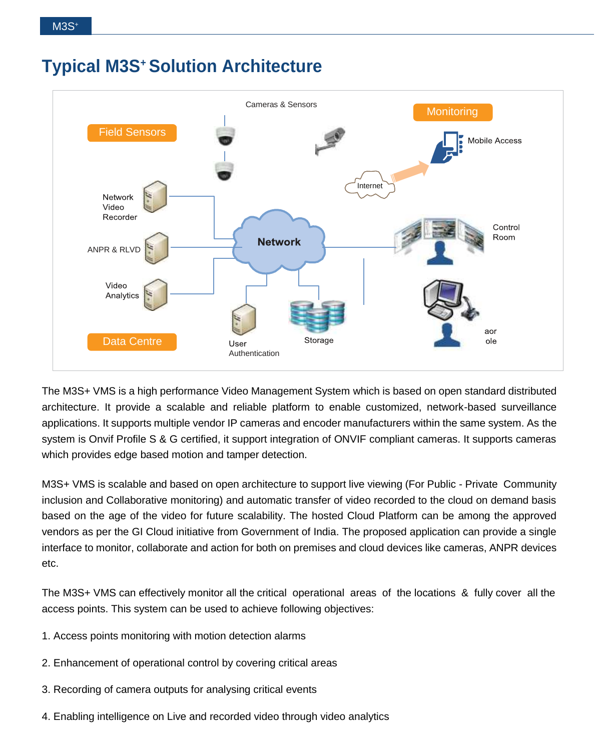## **Typical M3S<sup>+</sup>Solution Architecture**



The M3S+ VMS is a high performance Video Management System which is based on open standard distributed architecture. It provide a scalable and reliable platform to enable customized, network-based surveillance applications. It supports multiple vendor IP cameras and encoder manufacturers within the same system. As the system is Onvif Profile S & G certified, it support integration of ONVIF compliant cameras. It supports cameras which provides edge based motion and tamper detection.

M3S+ VMS is scalable and based on open architecture to support live viewing (For Public - Private Community inclusion and Collaborative monitoring) and automatic transfer of video recorded to the cloud on demand basis based on the age of the video for future scalability. The hosted Cloud Platform can be among the approved vendors as per the GI Cloud initiative from Government of India. The proposed application can provide a single interface to monitor, collaborate and action for both on premises and cloud devices like cameras, ANPR devices etc.

The M3S+ VMS can effectively monitor all the critical operational areas of the locations & fully cover all the access points. This system can be used to achieve following objectives:

- 1. Access points monitoring with motion detection alarms
- 2. Enhancement of operational control by covering critical areas
- 3. Recording of camera outputs for analysing critical events
- 4. Enabling intelligence on Live and recorded video through video analytics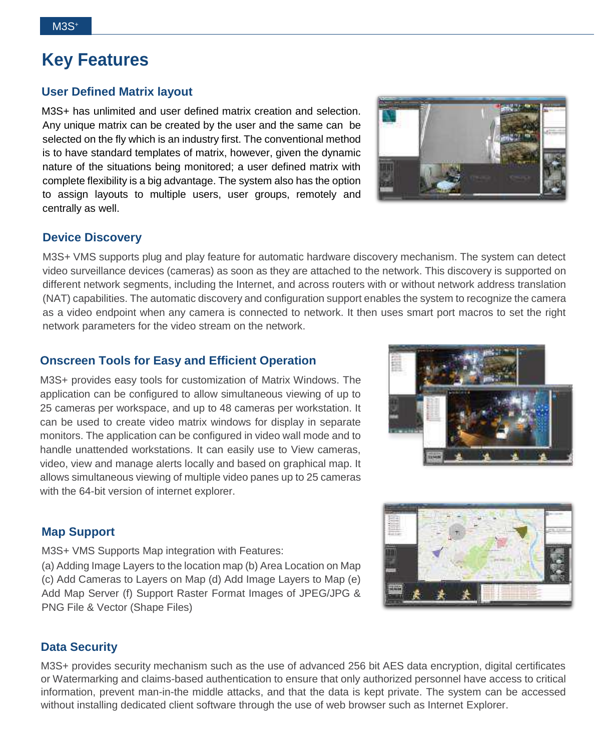# **Key Features**

#### **User Defined Matrix layout**

M3S+ has unlimited and user defined matrix creation and selection. Any unique matrix can be created by the user and the same can be selected on the fly which is an industry first. The conventional method is to have standard templates of matrix, however, given the dynamic nature of the situations being monitored; a user defined matrix with complete flexibility is a big advantage. The system also has the option to assign layouts to multiple users, user groups, remotely and centrally as well.



#### **Device Discovery**

M3S+ VMS supports plug and play feature for automatic hardware discovery mechanism. The system can detect video surveillance devices (cameras) as soon as they are attached to the network. This discovery is supported on different network segments, including the Internet, and across routers with or without network address translation (NAT) capabilities. The automatic discovery and configuration support enables the system to recognize the camera as a video endpoint when any camera is connected to network. It then uses smart port macros to set the right network parameters for the video stream on the network.

#### **Onscreen Tools for Easy and Efficient Operation**

M3S+ provides easy tools for customization of Matrix Windows. The application can be configured to allow simultaneous viewing of up to 25 cameras per workspace, and up to 48 cameras per workstation. It can be used to create video matrix windows for display in separate monitors. The application can be configured in video wall mode and to handle unattended workstations. It can easily use to View cameras, video, view and manage alerts locally and based on graphical map. It allows simultaneous viewing of multiple video panes up to 25 cameras with the 64-bit version of internet explorer.





#### **Map Support**

M3S+ VMS Supports Map integration with Features:

(a) Adding Image Layers to the location map (b) Area Location on Map (c) Add Cameras to Layers on Map (d) Add Image Layers to Map (e) Add Map Server (f) Support Raster Format Images of JPEG/JPG & PNG File & Vector (Shape Files)

#### **Data Security**

M3S+ provides security mechanism such as the use of advanced 256 bit AES data encryption, digital certificates or Watermarking and claims-based authentication to ensure that only authorized personnel have access to critical information, prevent man-in-the middle attacks, and that the data is kept private. The system can be accessed without installing dedicated client software through the use of web browser such as Internet Explorer.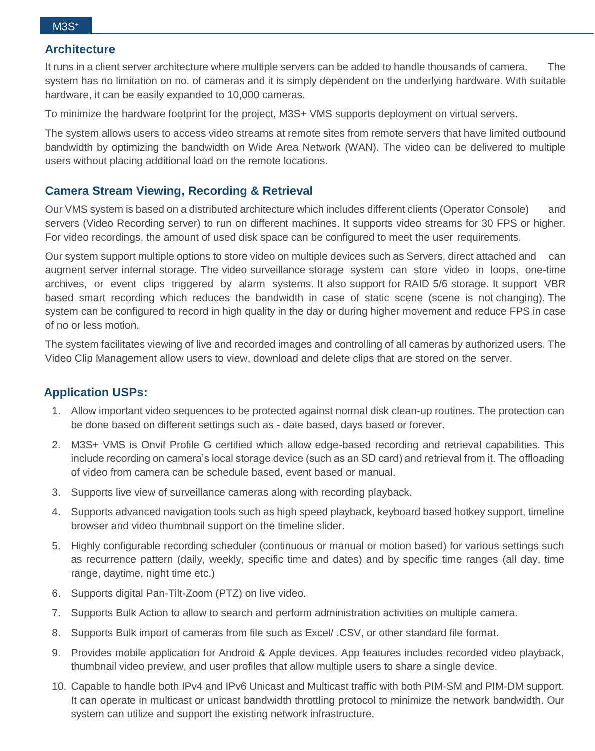#### **Architecture**

It runs in a client server architecture where multiple servers can be added to handle thousands of camera. The system has no limitation on no. of cameras and it is simply dependent on the underlying hardware. With suitable hardware, it can be easily expanded to 10,000 cameras.

To minimize the hardware footprint for the project, M3S+ VMS supports deployment on virtual servers.

The system allows users to access video streams at remote sites from remote servers that have limited outbound bandwidth by optimizing the bandwidth on Wide Area Network (WAN). The video can be delivered to multiple users without placing additional load on the remote locations.

#### **Camera Stream Viewing, Recording & Retrieval**

Our VMS system is based on a distributed architecture which includes different clients (Operator Console) and servers (Video Recording server) to run on different machines. It supports video streams for 30 FPS or higher. For video recordings, the amount of used disk space can be configured to meet the user requirements.

Our system support multiple options to store video on multiple devices such as Servers, direct attached and can augment server internal storage. The video surveillance storage system can store video in loops, one-time archives, or event clips triggered by alarm systems. It also support for RAID 5/6 storage. It support VBR based smart recording which reduces the bandwidth in case of static scene (scene is not changing). The system can be configured to record in high quality in the day or during higher movement and reduce FPS in case of no or less motion.

The system facilitates viewing of live and recorded images and controlling of all cameras by authorized users. The Video Clip Management allow users to view, download and delete clips that are stored on the server.

#### **Application USPs:**

- 1. Allow important video sequences to be protected against normal disk clean-up routines. The protection can be done based on different settings such as - date based, days based or forever.
- 2. M3S+ VMS is Onvif Profile G certified which allow edge-based recording and retrieval capabilities. This include recording on camera's local storage device (such as an SD card) and retrieval from it. The offloading of video from camera can be schedule based, event based or manual.
- 3. Supports live view of surveillance cameras along with recording playback.
- 4. Supports advanced navigation tools such as high speed playback, keyboard based hotkey support, timeline browser and video thumbnail support on the timeline slider.
- 5. Highly configurable recording scheduler (continuous or manual or motion based) for various settings such as recurrence pattern (daily, weekly, specific time and dates) and by specific time ranges (all day, time range, daytime, night time etc.)
- 6. Supports digital Pan-Tilt-Zoom (PTZ) on live video.
- 7. Supports Bulk Action to allow to search and perform administration activities on multiple camera.
- 8. Supports Bulk import of cameras from file such as Excel/ .CSV, or other standard file format.
- 9. Provides mobile application for Android & Apple devices. App features includes recorded video playback, thumbnail video preview, and user profiles that allow multiple users to share a single device.
- 10. Capable to handle both IPv4 and IPv6 Unicast and Multicast traffic with both PIM-SM and PIM-DM support. It can operate in multicast or unicast bandwidth throttling protocol to minimize the network bandwidth. Our system can utilize and support the existing network infrastructure.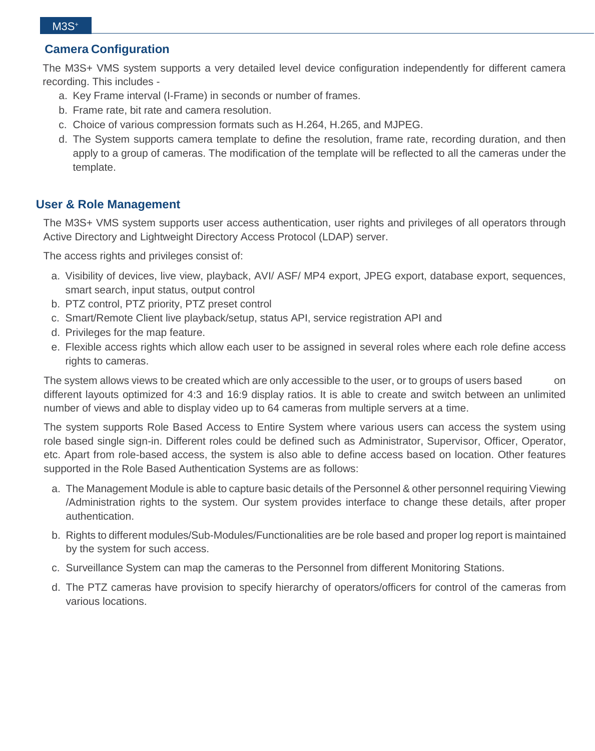#### **Camera Configuration**

The M3S+ VMS system supports a very detailed level device configuration independently for different camera recording. This includes -

- a. Key Frame interval (I-Frame) in seconds or number of frames.
- b. Frame rate, bit rate and camera resolution.
- c. Choice of various compression formats such as H.264, H.265, and MJPEG.
- d. The System supports camera template to define the resolution, frame rate, recording duration, and then apply to a group of cameras. The modification of the template will be reflected to all the cameras under the template.

#### **User & Role Management**

The M3S+ VMS system supports user access authentication, user rights and privileges of all operators through Active Directory and Lightweight Directory Access Protocol (LDAP) server.

The access rights and privileges consist of:

- a. Visibility of devices, live view, playback, AVI/ ASF/ MP4 export, JPEG export, database export, sequences, smart search, input status, output control
- b. PTZ control, PTZ priority, PTZ preset control
- c. Smart/Remote Client live playback/setup, status API, service registration API and
- d. Privileges for the map feature.
- e. Flexible access rights which allow each user to be assigned in several roles where each role define access rights to cameras.

The system allows views to be created which are only accessible to the user, or to groups of users based on different layouts optimized for 4:3 and 16:9 display ratios. It is able to create and switch between an unlimited number of views and able to display video up to 64 cameras from multiple servers at a time.

The system supports Role Based Access to Entire System where various users can access the system using role based single sign-in. Different roles could be defined such as Administrator, Supervisor, Officer, Operator, etc. Apart from role-based access, the system is also able to define access based on location. Other features supported in the Role Based Authentication Systems are as follows:

- a. The Management Module is able to capture basic details of the Personnel & other personnel requiring Viewing /Administration rights to the system. Our system provides interface to change these details, after proper authentication.
- b. Rights to different modules/Sub-Modules/Functionalities are be role based and proper log report is maintained by the system for such access.
- c. Surveillance System can map the cameras to the Personnel from different Monitoring Stations.
- d. The PTZ cameras have provision to specify hierarchy of operators/officers for control of the cameras from various locations.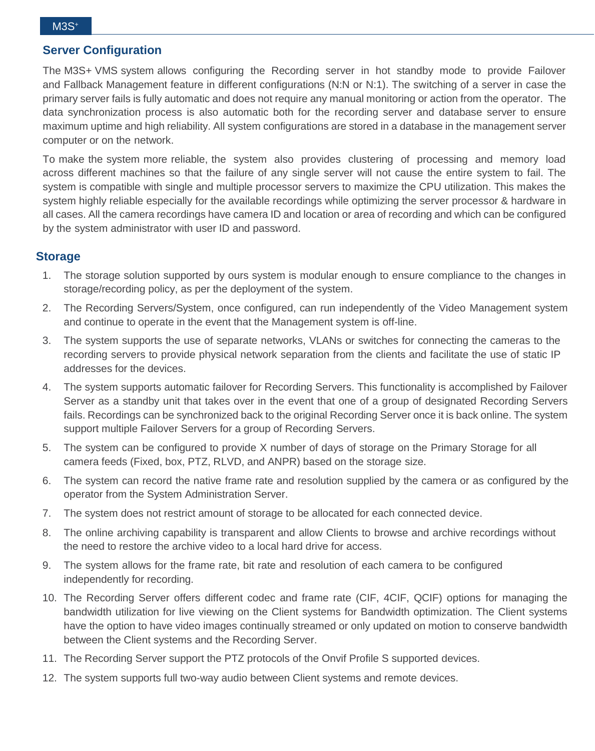#### **Server Configuration**

The M3S+ VMS system allows configuring the Recording server in hot standby mode to provide Failover and Fallback Management feature in different configurations (N:N or N:1). The switching of a server in case the primary server fails is fully automatic and does not require any manual monitoring or action from the operator. The data synchronization process is also automatic both for the recording server and database server to ensure maximum uptime and high reliability. All system configurations are stored in a database in the management server computer or on the network.

To make the system more reliable, the system also provides clustering of processing and memory load across different machines so that the failure of any single server will not cause the entire system to fail. The system is compatible with single and multiple processor servers to maximize the CPU utilization. This makes the system highly reliable especially for the available recordings while optimizing the server processor & hardware in all cases. All the camera recordings have camera ID and location or area of recording and which can be configured by the system administrator with user ID and password.

#### **Storage**

- 1. The storage solution supported by ours system is modular enough to ensure compliance to the changes in storage/recording policy, as per the deployment of the system.
- 2. The Recording Servers/System, once configured, can run independently of the Video Management system and continue to operate in the event that the Management system is off-line.
- 3. The system supports the use of separate networks, VLANs or switches for connecting the cameras to the recording servers to provide physical network separation from the clients and facilitate the use of static IP addresses for the devices.
- 4. The system supports automatic failover for Recording Servers. This functionality is accomplished by Failover Server as a standby unit that takes over in the event that one of a group of designated Recording Servers fails. Recordings can be synchronized back to the original Recording Server once it is back online. The system support multiple Failover Servers for a group of Recording Servers.
- 5. The system can be configured to provide X number of days of storage on the Primary Storage for all camera feeds (Fixed, box, PTZ, RLVD, and ANPR) based on the storage size.
- 6. The system can record the native frame rate and resolution supplied by the camera or as configured by the operator from the System Administration Server.
- 7. The system does not restrict amount of storage to be allocated for each connected device.
- 8. The online archiving capability is transparent and allow Clients to browse and archive recordings without the need to restore the archive video to a local hard drive for access.
- 9. The system allows for the frame rate, bit rate and resolution of each camera to be configured independently for recording.
- 10. The Recording Server offers different codec and frame rate (CIF, 4CIF, QCIF) options for managing the bandwidth utilization for live viewing on the Client systems for Bandwidth optimization. The Client systems have the option to have video images continually streamed or only updated on motion to conserve bandwidth between the Client systems and the Recording Server.
- 11. The Recording Server support the PTZ protocols of the Onvif Profile S supported devices.
- 12. The system supports full two-way audio between Client systems and remote devices.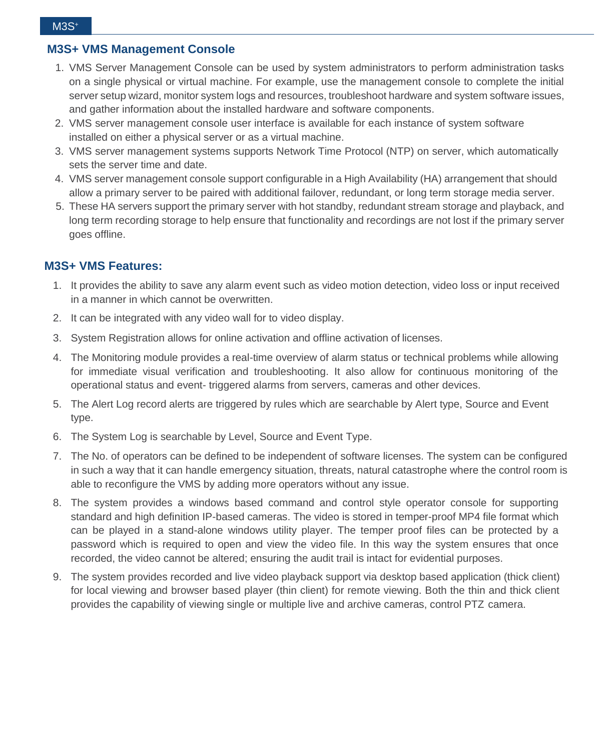#### **M3S+ VMS Management Console**

- 1. VMS Server Management Console can be used by system administrators to perform administration tasks on a single physical or virtual machine. For example, use the management console to complete the initial server setup wizard, monitor system logs and resources, troubleshoot hardware and system software issues, and gather information about the installed hardware and software components.
- 2. VMS server management console user interface is available for each instance of system software installed on either a physical server or as a virtual machine.
- 3. VMS server management systems supports Network Time Protocol (NTP) on server, which automatically sets the server time and date.
- 4. VMS server management console support configurable in a High Availability (HA) arrangement that should allow a primary server to be paired with additional failover, redundant, or long term storage media server.
- 5. These HA servers support the primary server with hot standby, redundant stream storage and playback, and long term recording storage to help ensure that functionality and recordings are not lost if the primary server goes offline.

#### **M3S+ VMS Features:**

- 1. It provides the ability to save any alarm event such as video motion detection, video loss or input received in a manner in which cannot be overwritten.
- 2. It can be integrated with any video wall for to video display.
- 3. System Registration allows for online activation and offline activation of licenses.
- 4. The Monitoring module provides a real-time overview of alarm status or technical problems while allowing for immediate visual verification and troubleshooting. It also allow for continuous monitoring of the operational status and event- triggered alarms from servers, cameras and other devices.
- 5. The Alert Log record alerts are triggered by rules which are searchable by Alert type, Source and Event type.
- 6. The System Log is searchable by Level, Source and Event Type.
- 7. The No. of operators can be defined to be independent of software licenses. The system can be configured in such a way that it can handle emergency situation, threats, natural catastrophe where the control room is able to reconfigure the VMS by adding more operators without any issue.
- 8. The system provides a windows based command and control style operator console for supporting standard and high definition IP-based cameras. The video is stored in temper-proof MP4 file format which can be played in a stand-alone windows utility player. The temper proof files can be protected by a password which is required to open and view the video file. In this way the system ensures that once recorded, the video cannot be altered; ensuring the audit trail is intact for evidential purposes.
- 9. The system provides recorded and live video playback support via desktop based application (thick client) for local viewing and browser based player (thin client) for remote viewing. Both the thin and thick client provides the capability of viewing single or multiple live and archive cameras, control PTZ camera.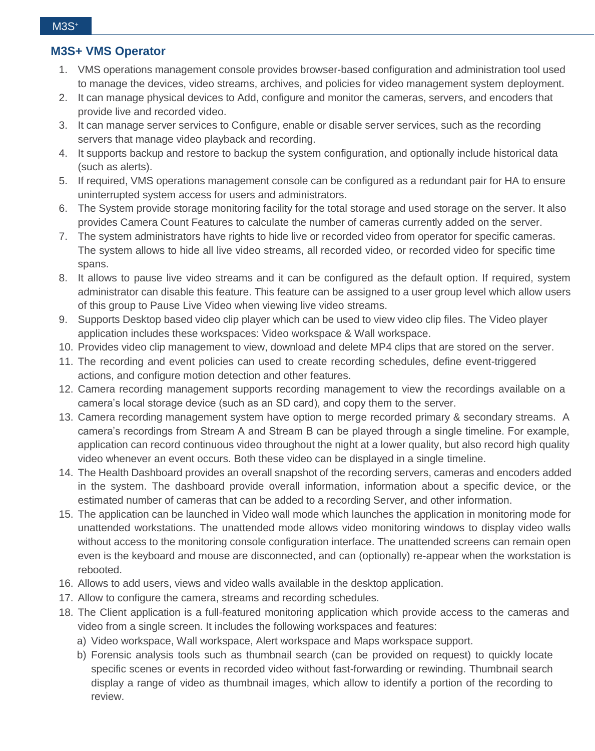#### **M3S+ VMS Operator**

- 1. VMS operations management console provides browser-based configuration and administration tool used to manage the devices, video streams, archives, and policies for video management system deployment.
- 2. It can manage physical devices to Add, configure and monitor the cameras, servers, and encoders that provide live and recorded video.
- 3. It can manage server services to Configure, enable or disable server services, such as the recording servers that manage video playback and recording.
- 4. It supports backup and restore to backup the system configuration, and optionally include historical data (such as alerts).
- 5. If required, VMS operations management console can be configured as a redundant pair for HA to ensure uninterrupted system access for users and administrators.
- 6. The System provide storage monitoring facility for the total storage and used storage on the server. It also provides Camera Count Features to calculate the number of cameras currently added on the server.
- 7. The system administrators have rights to hide live or recorded video from operator for specific cameras. The system allows to hide all live video streams, all recorded video, or recorded video for specific time spans.
- 8. It allows to pause live video streams and it can be configured as the default option. If required, system administrator can disable this feature. This feature can be assigned to a user group level which allow users of this group to Pause Live Video when viewing live video streams.
- 9. Supports Desktop based video clip player which can be used to view video clip files. The Video player application includes these workspaces: Video workspace & Wall workspace.
- 10. Provides video clip management to view, download and delete MP4 clips that are stored on the server.
- 11. The recording and event policies can used to create recording schedules, define event-triggered actions, and configure motion detection and other features.
- 12. Camera recording management supports recording management to view the recordings available on a camera's local storage device (such as an SD card), and copy them to the server.
- 13. Camera recording management system have option to merge recorded primary & secondary streams. A camera's recordings from Stream A and Stream B can be played through a single timeline. For example, application can record continuous video throughout the night at a lower quality, but also record high quality video whenever an event occurs. Both these video can be displayed in a single timeline.
- 14. The Health Dashboard provides an overall snapshot of the recording servers, cameras and encoders added in the system. The dashboard provide overall information, information about a specific device, or the estimated number of cameras that can be added to a recording Server, and other information.
- 15. The application can be launched in Video wall mode which launches the application in monitoring mode for unattended workstations. The unattended mode allows video monitoring windows to display video walls without access to the monitoring console configuration interface. The unattended screens can remain open even is the keyboard and mouse are disconnected, and can (optionally) re-appear when the workstation is rebooted.
- 16. Allows to add users, views and video walls available in the desktop application.
- 17. Allow to configure the camera, streams and recording schedules.
- 18. The Client application is a full-featured monitoring application which provide access to the cameras and video from a single screen. It includes the following workspaces and features:
	- a) Video workspace, Wall workspace, Alert workspace and Maps workspace support.
	- b) Forensic analysis tools such as thumbnail search (can be provided on request) to quickly locate specific scenes or events in recorded video without fast-forwarding or rewinding. Thumbnail search display a range of video as thumbnail images, which allow to identify a portion of the recording to review.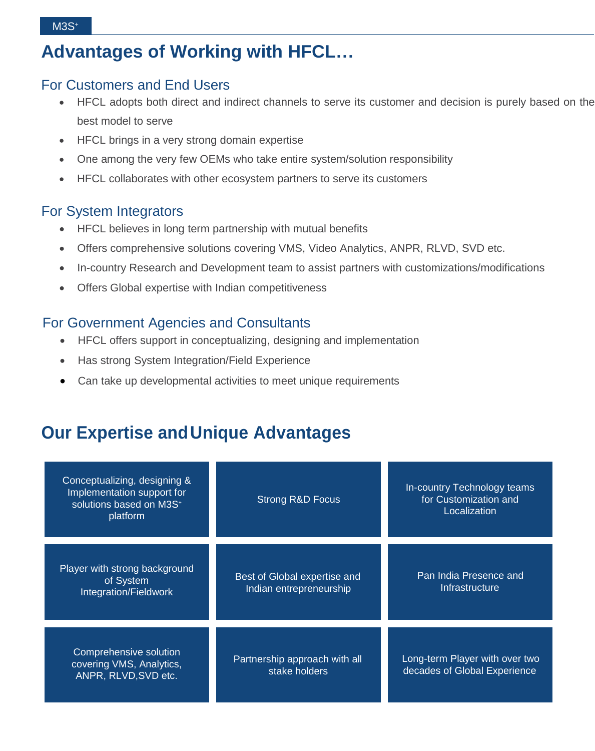# **Advantages of Working with HFCL…**

### For Customers and End Users

- HFCL adopts both direct and indirect channels to serve its customer and decision is purely based on the best model to serve
- HFCL brings in a very strong domain expertise
- One among the very few OEMs who take entire system/solution responsibility
- HFCL collaborates with other ecosystem partners to serve its customers

#### For System Integrators

- HFCL believes in long term partnership with mutual benefits
- Offers comprehensive solutions covering VMS, Video Analytics, ANPR, RLVD, SVD etc.
- In-country Research and Development team to assist partners with customizations/modifications
- Offers Global expertise with Indian competitiveness

### For Government Agencies and Consultants

- HFCL offers support in conceptualizing, designing and implementation
- Has strong System Integration/Field Experience
- Can take up developmental activities to meet unique requirements

# **Our Expertise andUnique Advantages**

| Conceptualizing, designing &<br>Implementation support for<br>solutions based on M3S <sup>+</sup><br>platform | <b>Strong R&amp;D Focus</b>                             | In-country Technology teams<br>for Customization and<br>Localization |
|---------------------------------------------------------------------------------------------------------------|---------------------------------------------------------|----------------------------------------------------------------------|
| Player with strong background<br>of System<br>Integration/Fieldwork                                           | Best of Global expertise and<br>Indian entrepreneurship | Pan India Presence and<br>Infrastructure                             |
| Comprehensive solution<br>covering VMS, Analytics,<br>ANPR, RLVD, SVD etc.                                    | Partnership approach with all<br>stake holders          | Long-term Player with over two<br>decades of Global Experience       |